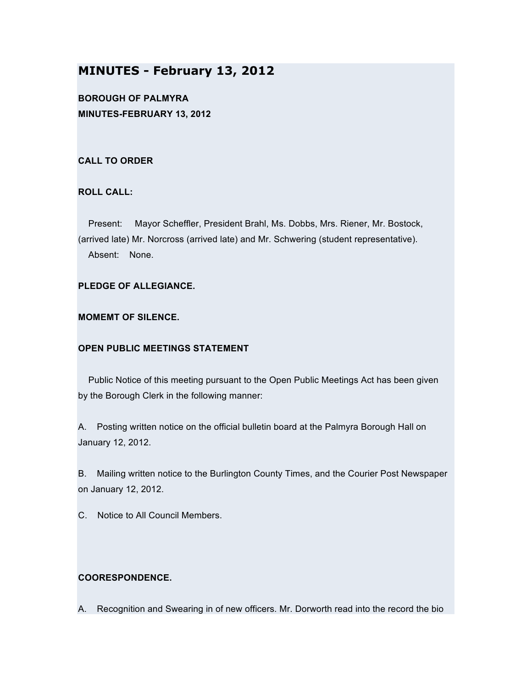# **MINUTES - February 13, 2012**

**BOROUGH OF PALMYRA MINUTES-FEBRUARY 13, 2012**

# **CALL TO ORDER**

# **ROLL CALL:**

Present: Mayor Scheffler, President Brahl, Ms. Dobbs, Mrs. Riener, Mr. Bostock, (arrived late) Mr. Norcross (arrived late) and Mr. Schwering (student representative). Absent: None.

## **PLEDGE OF ALLEGIANCE.**

## **MOMEMT OF SILENCE.**

# **OPEN PUBLIC MEETINGS STATEMENT**

Public Notice of this meeting pursuant to the Open Public Meetings Act has been given by the Borough Clerk in the following manner:

A. Posting written notice on the official bulletin board at the Palmyra Borough Hall on January 12, 2012.

B. Mailing written notice to the Burlington County Times, and the Courier Post Newspaper on January 12, 2012.

C. Notice to All Council Members.

## **COORESPONDENCE.**

A. Recognition and Swearing in of new officers. Mr. Dorworth read into the record the bio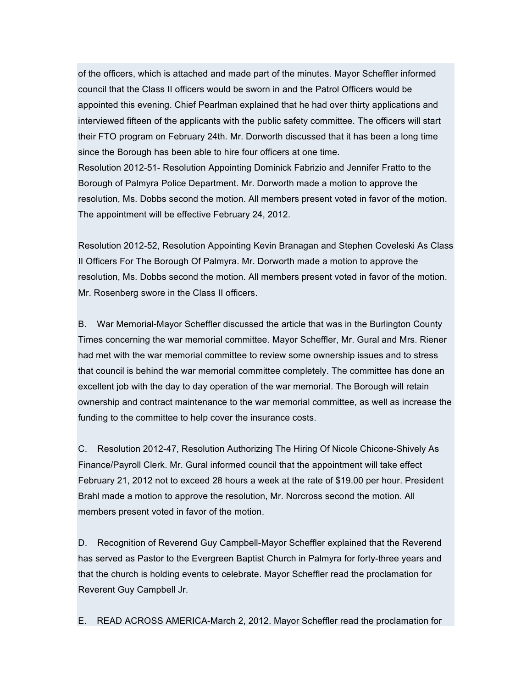of the officers, which is attached and made part of the minutes. Mayor Scheffler informed council that the Class II officers would be sworn in and the Patrol Officers would be appointed this evening. Chief Pearlman explained that he had over thirty applications and interviewed fifteen of the applicants with the public safety committee. The officers will start their FTO program on February 24th. Mr. Dorworth discussed that it has been a long time since the Borough has been able to hire four officers at one time. Resolution 2012-51- Resolution Appointing Dominick Fabrizio and Jennifer Fratto to the Borough of Palmyra Police Department. Mr. Dorworth made a motion to approve the resolution, Ms. Dobbs second the motion. All members present voted in favor of the motion. The appointment will be effective February 24, 2012.

Resolution 2012-52, Resolution Appointing Kevin Branagan and Stephen Coveleski As Class II Officers For The Borough Of Palmyra. Mr. Dorworth made a motion to approve the resolution, Ms. Dobbs second the motion. All members present voted in favor of the motion. Mr. Rosenberg swore in the Class II officers.

B. War Memorial-Mayor Scheffler discussed the article that was in the Burlington County Times concerning the war memorial committee. Mayor Scheffler, Mr. Gural and Mrs. Riener had met with the war memorial committee to review some ownership issues and to stress that council is behind the war memorial committee completely. The committee has done an excellent job with the day to day operation of the war memorial. The Borough will retain ownership and contract maintenance to the war memorial committee, as well as increase the funding to the committee to help cover the insurance costs.

C. Resolution 2012-47, Resolution Authorizing The Hiring Of Nicole Chicone-Shively As Finance/Payroll Clerk. Mr. Gural informed council that the appointment will take effect February 21, 2012 not to exceed 28 hours a week at the rate of \$19.00 per hour. President Brahl made a motion to approve the resolution, Mr. Norcross second the motion. All members present voted in favor of the motion.

D. Recognition of Reverend Guy Campbell-Mayor Scheffler explained that the Reverend has served as Pastor to the Evergreen Baptist Church in Palmyra for forty-three years and that the church is holding events to celebrate. Mayor Scheffler read the proclamation for Reverent Guy Campbell Jr.

E. READ ACROSS AMERICA-March 2, 2012. Mayor Scheffler read the proclamation for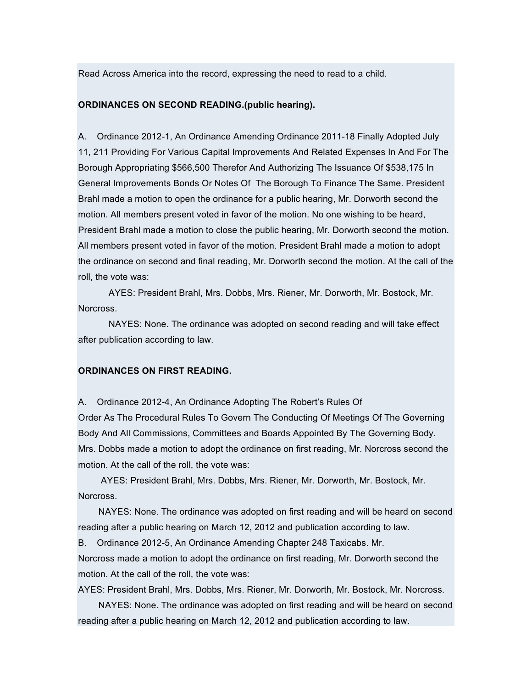Read Across America into the record, expressing the need to read to a child.

### **ORDINANCES ON SECOND READING.(public hearing).**

A. Ordinance 2012-1, An Ordinance Amending Ordinance 2011-18 Finally Adopted July 11, 211 Providing For Various Capital Improvements And Related Expenses In And For The Borough Appropriating \$566,500 Therefor And Authorizing The Issuance Of \$538,175 In General Improvements Bonds Or Notes Of The Borough To Finance The Same. President Brahl made a motion to open the ordinance for a public hearing, Mr. Dorworth second the motion. All members present voted in favor of the motion. No one wishing to be heard, President Brahl made a motion to close the public hearing, Mr. Dorworth second the motion. All members present voted in favor of the motion. President Brahl made a motion to adopt the ordinance on second and final reading, Mr. Dorworth second the motion. At the call of the roll, the vote was:

AYES: President Brahl, Mrs. Dobbs, Mrs. Riener, Mr. Dorworth, Mr. Bostock, Mr. Norcross.

NAYES: None. The ordinance was adopted on second reading and will take effect after publication according to law.

#### **ORDINANCES ON FIRST READING.**

A. Ordinance 2012-4, An Ordinance Adopting The Robert's Rules Of

Order As The Procedural Rules To Govern The Conducting Of Meetings Of The Governing Body And All Commissions, Committees and Boards Appointed By The Governing Body. Mrs. Dobbs made a motion to adopt the ordinance on first reading, Mr. Norcross second the motion. At the call of the roll, the vote was:

AYES: President Brahl, Mrs. Dobbs, Mrs. Riener, Mr. Dorworth, Mr. Bostock, Mr. Norcross.

NAYES: None. The ordinance was adopted on first reading and will be heard on second reading after a public hearing on March 12, 2012 and publication according to law.

B. Ordinance 2012-5, An Ordinance Amending Chapter 248 Taxicabs. Mr.

Norcross made a motion to adopt the ordinance on first reading, Mr. Dorworth second the motion. At the call of the roll, the vote was:

AYES: President Brahl, Mrs. Dobbs, Mrs. Riener, Mr. Dorworth, Mr. Bostock, Mr. Norcross.

NAYES: None. The ordinance was adopted on first reading and will be heard on second reading after a public hearing on March 12, 2012 and publication according to law.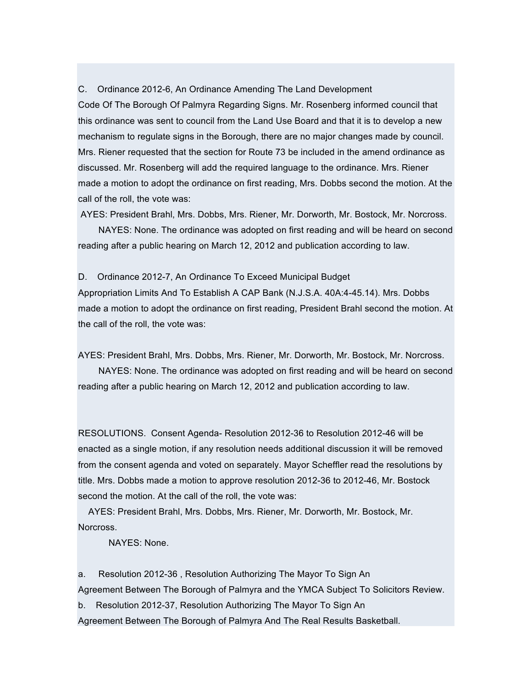C. Ordinance 2012-6, An Ordinance Amending The Land Development

Code Of The Borough Of Palmyra Regarding Signs. Mr. Rosenberg informed council that this ordinance was sent to council from the Land Use Board and that it is to develop a new mechanism to regulate signs in the Borough, there are no major changes made by council. Mrs. Riener requested that the section for Route 73 be included in the amend ordinance as discussed. Mr. Rosenberg will add the required language to the ordinance. Mrs. Riener made a motion to adopt the ordinance on first reading, Mrs. Dobbs second the motion. At the call of the roll, the vote was:

AYES: President Brahl, Mrs. Dobbs, Mrs. Riener, Mr. Dorworth, Mr. Bostock, Mr. Norcross. NAYES: None. The ordinance was adopted on first reading and will be heard on second reading after a public hearing on March 12, 2012 and publication according to law.

D. Ordinance 2012-7, An Ordinance To Exceed Municipal Budget Appropriation Limits And To Establish A CAP Bank (N.J.S.A. 40A:4-45.14). Mrs. Dobbs made a motion to adopt the ordinance on first reading, President Brahl second the motion. At the call of the roll, the vote was:

AYES: President Brahl, Mrs. Dobbs, Mrs. Riener, Mr. Dorworth, Mr. Bostock, Mr. Norcross.

NAYES: None. The ordinance was adopted on first reading and will be heard on second reading after a public hearing on March 12, 2012 and publication according to law.

RESOLUTIONS. Consent Agenda- Resolution 2012-36 to Resolution 2012-46 will be enacted as a single motion, if any resolution needs additional discussion it will be removed from the consent agenda and voted on separately. Mayor Scheffler read the resolutions by title. Mrs. Dobbs made a motion to approve resolution 2012-36 to 2012-46, Mr. Bostock second the motion. At the call of the roll, the vote was:

AYES: President Brahl, Mrs. Dobbs, Mrs. Riener, Mr. Dorworth, Mr. Bostock, Mr. Norcross.

NAYES: None.

a. Resolution 2012-36 , Resolution Authorizing The Mayor To Sign An Agreement Between The Borough of Palmyra and the YMCA Subject To Solicitors Review. b. Resolution 2012-37, Resolution Authorizing The Mayor To Sign An

Agreement Between The Borough of Palmyra And The Real Results Basketball.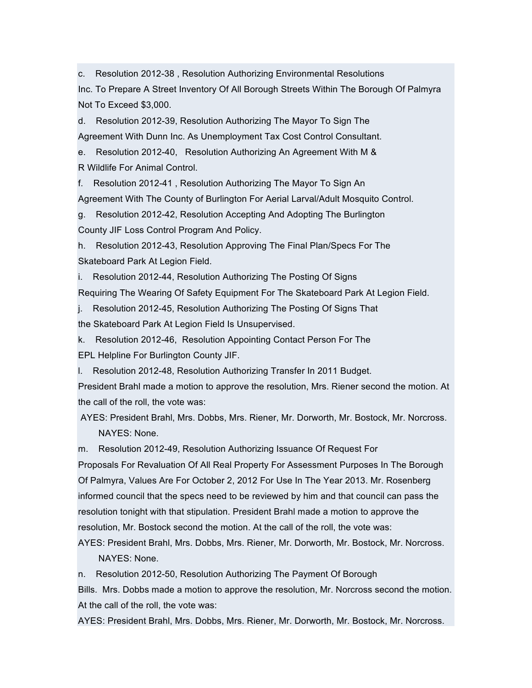c. Resolution 2012-38 , Resolution Authorizing Environmental Resolutions

Inc. To Prepare A Street Inventory Of All Borough Streets Within The Borough Of Palmyra Not To Exceed \$3,000.

d. Resolution 2012-39, Resolution Authorizing The Mayor To Sign The Agreement With Dunn Inc. As Unemployment Tax Cost Control Consultant.

e. Resolution 2012-40, Resolution Authorizing An Agreement With M & R Wildlife For Animal Control.

f. Resolution 2012-41 , Resolution Authorizing The Mayor To Sign An Agreement With The County of Burlington For Aerial Larval/Adult Mosquito Control.

g. Resolution 2012-42, Resolution Accepting And Adopting The Burlington County JIF Loss Control Program And Policy.

h. Resolution 2012-43, Resolution Approving The Final Plan/Specs For The Skateboard Park At Legion Field.

i. Resolution 2012-44, Resolution Authorizing The Posting Of Signs

Requiring The Wearing Of Safety Equipment For The Skateboard Park At Legion Field.

j. Resolution 2012-45, Resolution Authorizing The Posting Of Signs That the Skateboard Park At Legion Field Is Unsupervised.

k. Resolution 2012-46, Resolution Appointing Contact Person For The EPL Helpline For Burlington County JIF.

l. Resolution 2012-48, Resolution Authorizing Transfer In 2011 Budget.

President Brahl made a motion to approve the resolution, Mrs. Riener second the motion. At the call of the roll, the vote was:

AYES: President Brahl, Mrs. Dobbs, Mrs. Riener, Mr. Dorworth, Mr. Bostock, Mr. Norcross. NAYES: None.

m. Resolution 2012-49, Resolution Authorizing Issuance Of Request For

Proposals For Revaluation Of All Real Property For Assessment Purposes In The Borough Of Palmyra, Values Are For October 2, 2012 For Use In The Year 2013. Mr. Rosenberg informed council that the specs need to be reviewed by him and that council can pass the resolution tonight with that stipulation. President Brahl made a motion to approve the resolution, Mr. Bostock second the motion. At the call of the roll, the vote was:

AYES: President Brahl, Mrs. Dobbs, Mrs. Riener, Mr. Dorworth, Mr. Bostock, Mr. Norcross. NAYES: None.

n. Resolution 2012-50, Resolution Authorizing The Payment Of Borough

Bills. Mrs. Dobbs made a motion to approve the resolution, Mr. Norcross second the motion. At the call of the roll, the vote was:

AYES: President Brahl, Mrs. Dobbs, Mrs. Riener, Mr. Dorworth, Mr. Bostock, Mr. Norcross.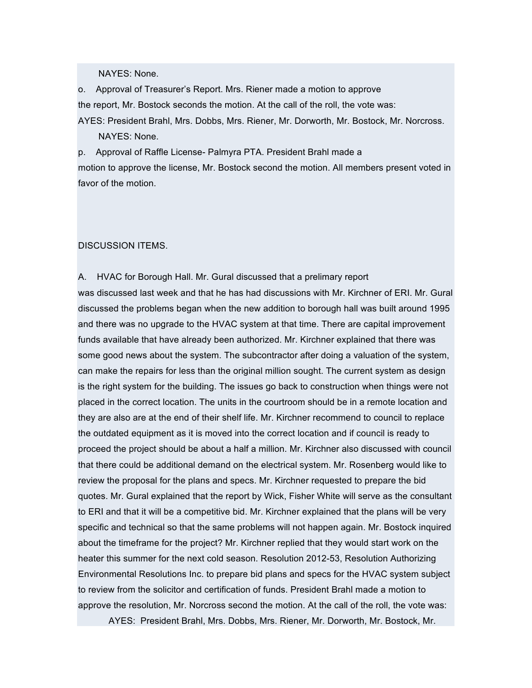NAYES: None.

o. Approval of Treasurer's Report. Mrs. Riener made a motion to approve the report, Mr. Bostock seconds the motion. At the call of the roll, the vote was: AYES: President Brahl, Mrs. Dobbs, Mrs. Riener, Mr. Dorworth, Mr. Bostock, Mr. Norcross. NAYES: None.

p. Approval of Raffle License- Palmyra PTA. President Brahl made a motion to approve the license, Mr. Bostock second the motion. All members present voted in favor of the motion.

### DISCUSSION ITEMS.

A. HVAC for Borough Hall. Mr. Gural discussed that a prelimary report was discussed last week and that he has had discussions with Mr. Kirchner of ERI. Mr. Gural discussed the problems began when the new addition to borough hall was built around 1995 and there was no upgrade to the HVAC system at that time. There are capital improvement funds available that have already been authorized. Mr. Kirchner explained that there was some good news about the system. The subcontractor after doing a valuation of the system, can make the repairs for less than the original million sought. The current system as design is the right system for the building. The issues go back to construction when things were not placed in the correct location. The units in the courtroom should be in a remote location and they are also are at the end of their shelf life. Mr. Kirchner recommend to council to replace the outdated equipment as it is moved into the correct location and if council is ready to proceed the project should be about a half a million. Mr. Kirchner also discussed with council that there could be additional demand on the electrical system. Mr. Rosenberg would like to review the proposal for the plans and specs. Mr. Kirchner requested to prepare the bid quotes. Mr. Gural explained that the report by Wick, Fisher White will serve as the consultant to ERI and that it will be a competitive bid. Mr. Kirchner explained that the plans will be very specific and technical so that the same problems will not happen again. Mr. Bostock inquired about the timeframe for the project? Mr. Kirchner replied that they would start work on the heater this summer for the next cold season. Resolution 2012-53, Resolution Authorizing Environmental Resolutions Inc. to prepare bid plans and specs for the HVAC system subject to review from the solicitor and certification of funds. President Brahl made a motion to approve the resolution, Mr. Norcross second the motion. At the call of the roll, the vote was:

AYES: President Brahl, Mrs. Dobbs, Mrs. Riener, Mr. Dorworth, Mr. Bostock, Mr.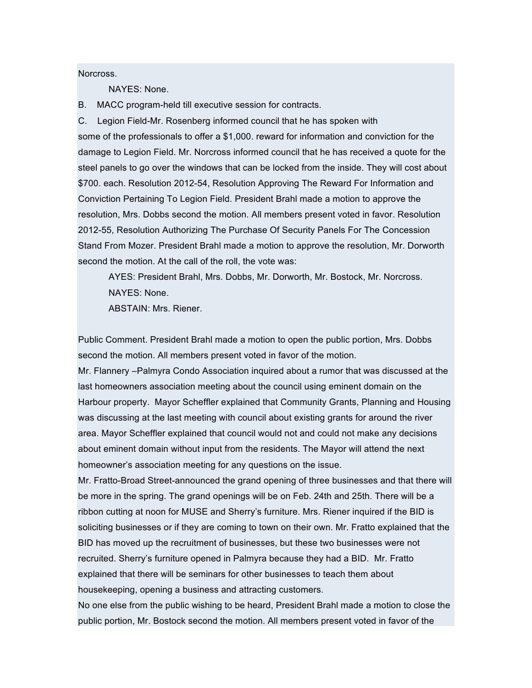Norcross.

NAYES: None.

B. MACC program-held till executive session for contracts.

C. Legion Field-Mr. Rosenberg informed council that he has spoken with some of the professionals to offer a \$1,000. reward for information and conviction for the damage to Legion Field. Mr. Norcross informed council that he has received a quote for the steel panels to go over the windows that can be locked from the inside. They will cost about \$700. each. Resolution 2012-54, Resolution Approving The Reward For Information and Conviction Pertaining To Legion Field. President Brahl made a motion to approve the resolution, Mrs. Dobbs second the motion. All members present voted in favor. Resolution 2012-55, Resolution Authorizing The Purchase Of Security Panels For The Concession Stand From Mozer. President Brahl made a motion to approve the resolution, Mr. Dorworth second the motion. At the call of the roll, the vote was:

AYES: President Brahl, Mrs. Dobbs, Mr. Dorworth, Mr. Bostock, Mr. Norcross. NAYES: None.

ABSTAIN: Mrs. Riener.

Public Comment. President Brahl made a motion to open the public portion, Mrs. Dobbs second the motion. All members present voted in favor of the motion.

Mr. Flannery –Palmyra Condo Association inquired about a rumor that was discussed at the last homeowners association meeting about the council using eminent domain on the Harbour property. Mayor Scheffler explained that Community Grants, Planning and Housing was discussing at the last meeting with council about existing grants for around the river area. Mayor Scheffler explained that council would not and could not make any decisions about eminent domain without input from the residents. The Mayor will attend the next homeowner's association meeting for any questions on the issue.

Mr. Fratto-Broad Street-announced the grand opening of three businesses and that there will be more in the spring. The grand openings will be on Feb. 24th and 25th. There will be a ribbon cutting at noon for MUSE and Sherry's furniture. Mrs. Riener inquired if the BID is soliciting businesses or if they are coming to town on their own. Mr. Fratto explained that the BID has moved up the recruitment of businesses, but these two businesses were not recruited. Sherry's furniture opened in Palmyra because they had a BID. Mr. Fratto explained that there will be seminars for other businesses to teach them about housekeeping, opening a business and attracting customers.

No one else from the public wishing to be heard, President Brahl made a motion to close the public portion, Mr. Bostock second the motion. All members present voted in favor of the